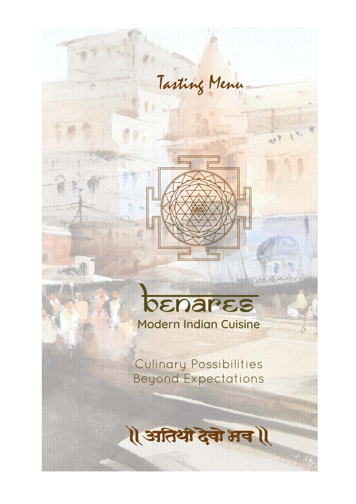

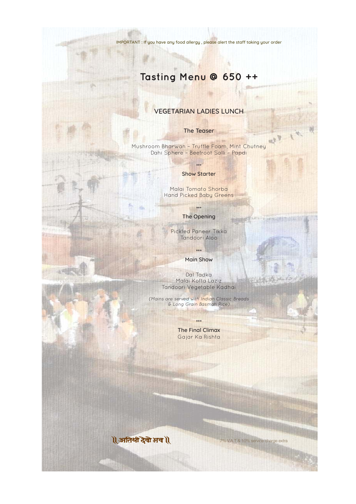

# **Tasting Menu @ 650 ++**

### VEGETARIAN LADIES LUNCH

#### The Teaser

 $\tau_{\rm 2p}$ 

Mushroom Bharwan – Truffle Foam, Mint Chutney Dahi Sphere – Beetroot Salli – Papdi

#### \*\*\* Show Starter

Malai Tomato Shorba Hand Picked Baby Greens

### \*\*\* The Opening

Pickled Paneer Tikka Tandoori Aloo

\*\*\*

Main Show

Dal Tadka Malai Kofta Laziz Tandoori Vegetable Kadhai

(Mains are served with Indian Classic Breads & Long Grain Basmati Rice)

\*\*\*

The Final Climax Gajar Ka Rishta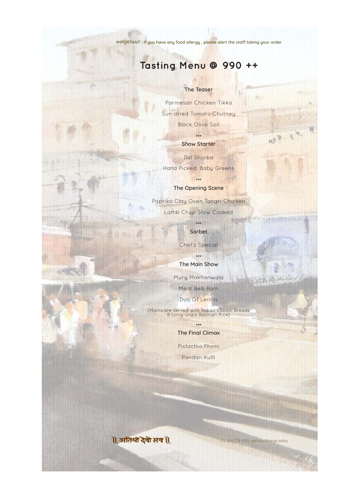

## **Tasting Menu @ 990 ++**

#### The Teaser

Parmesan Chicken Tikka Sun-dried Tomato Chutney Black Olive Soil

> \*\*\* Show Starter

Dal Shorba Hand Picked Baby Greens

\*\*\*

The Opening Scene

Paprika Clay Oven Tangri Chicken

Lamb Chop Slow Cooked

\*\*\* Sorbet

Chef's Special

\*\*\* The Main Show

Murg Makhanwala

Meat Belli Ram

Duo Of Lentils

(Mains are served with Indian Classic Breads & Long Grain Basmati Rice)

\*\*\*

The Final Climax

Pistachio Phirni

Pandan Kulfi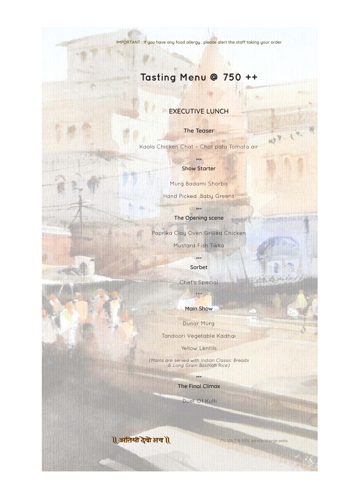# **Tasting Menu @ 750 ++**

### EXECUTIVE LUNCH

The Teaser

Kaala Chicken Chat – Chat pata Tomato air

\*\*\* Show Starter

Murg Badami Shorba

Hand Picked Baby Greens

\*\*\*



The Opening scene

Paprika Clay Oven Grilled Chicken

Mustard Fish Tikka

\*\*\* Sorbet

Chef's Special

\*\*\*

Main Show

Dunar Murg

Tandoori Vegetable Kadhai

Yellow Lentils

(Mains are served with Indian Classic Breads & Long Grain Basmati Rice)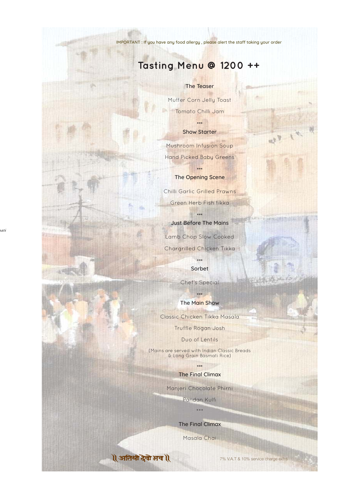7% V.A.T & 10% service charge extra

IMPORTANT : If you have any food allergy, please alert the staff taking your order

## **Tasting Menu @ 1200 ++**

#### The Teaser

Mutter Corn Jelly Toast Tomato Chilli Jam

\*\*\*

Show Starter

Mushroom Infusion Soup Hand Picked Baby Greens

> \*\*\* The Opening Scene

Chilli Garlic Grilled Prawns Green Herb Fish tikka

\*\*\*

Just Before The Mains Lamb Chop Slow Cooked Chargrilled Chicken Tikka

> \*\*\* Sorbet

Chef's Special

\*\*\* The Main Show Classic Chicken Tikka Masala Truffle Rogan Josh

Duo of Lentils

(Mains are served with Indian Classic Breads & Long Grain Basmati Rice)

> \*\*\* The Final Climax

Manjeri Chocolate Phirni

Pandan Kulfi

\*\*\*

The Final Climax

Masala Chai

1 अतिथी देवो भव 1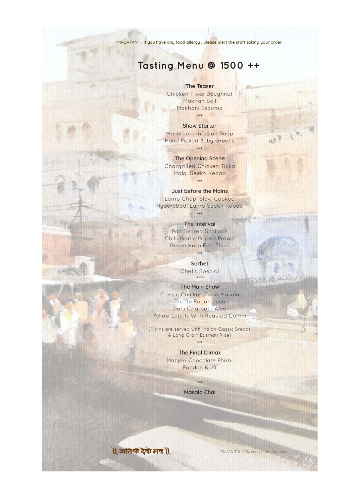### **Tasting Menu @ 1500 ++**

The Teaser Chicken Tikka Doughnut Makhan Soil Makhani Espuma \*\*\*

Show Starter Mushroom Infusion Soup Hand Picked Baby Greens

The Main Show Classic Chicken Tikka Masala Truffle Rogan Josh Dahi Chatpata Aloo Yellow Lentils With Roasted Cumin

\*\*\*

The Opening Scene Chargrilled Chicken Tikka Malai Seekh Kebab \*\*\*

Just before the Mains Lamb Chop, Slow Cooked Hyderabadi Lamb Seekh Kebab



\*\*\*

The Interval Pan Seared Scallops Chilli Garlic Grilled Prawn Green Herb Fish Tikka

\*\*\*

Sorbet Chef's Special

\*\*\*

(Mains are served with Indian Classic Breads & Long Grain Basmati Rice)

\*\*\*

The Final Climax Manjeri Chocolate Phirni Pandan Kulfi